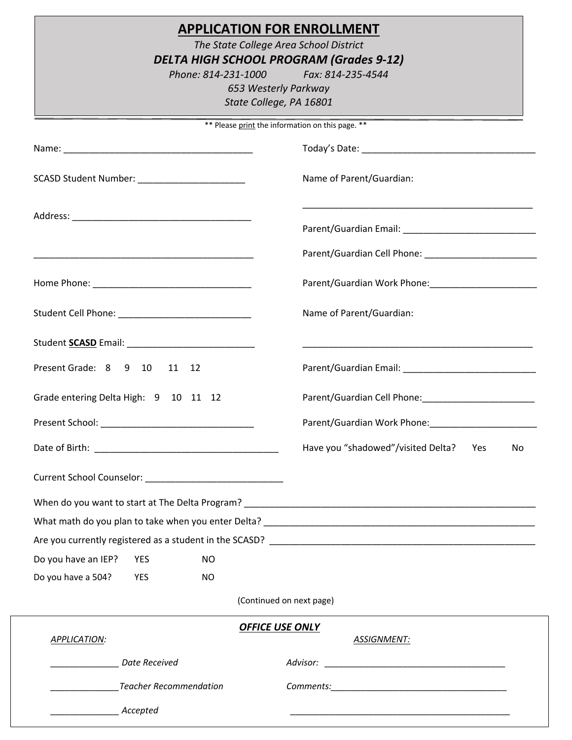|                                                                                                                       | <b>APPLICATION FOR ENROLLMENT</b><br>The State College Area School District<br><b>DELTA HIGH SCHOOL PROGRAM (Grades 9-12)</b><br>Phone: 814-231-1000 Fax: 814-235-4544<br>653 Westerly Parkway<br>State College, PA 16801 |  |  |
|-----------------------------------------------------------------------------------------------------------------------|---------------------------------------------------------------------------------------------------------------------------------------------------------------------------------------------------------------------------|--|--|
|                                                                                                                       | ** Please print the information on this page. **                                                                                                                                                                          |  |  |
|                                                                                                                       |                                                                                                                                                                                                                           |  |  |
| SCASD Student Number: ________________________                                                                        | Name of Parent/Guardian:                                                                                                                                                                                                  |  |  |
|                                                                                                                       | <u> 1989 - Johann John Stoff, deutscher Stoffen und der Stoffen und der Stoffen und der Stoffen und der Stoffen u</u>                                                                                                     |  |  |
| <u> 1989 - Johann John Stone, markin film yn y brening yn y brening yn y brening yn y brening yn y brening yn y b</u> |                                                                                                                                                                                                                           |  |  |
|                                                                                                                       |                                                                                                                                                                                                                           |  |  |
|                                                                                                                       | Name of Parent/Guardian:                                                                                                                                                                                                  |  |  |
|                                                                                                                       | <u> 1989 - Johann John Stone, mars et al. 1989 - John Stone, mars et al. 1989 - John Stone, mars et al. 1989 - Joh</u>                                                                                                    |  |  |
| Present Grade: 8 9 10 11 12                                                                                           |                                                                                                                                                                                                                           |  |  |
| Grade entering Delta High: 9 10 11 12                                                                                 | Parent/Guardian Cell Phone: 2008 2010 2020 2021                                                                                                                                                                           |  |  |
| Present School:                                                                                                       | Parent/Guardian Work Phone:                                                                                                                                                                                               |  |  |
|                                                                                                                       | Have you "shadowed"/visited Delta?<br>Yes<br>No                                                                                                                                                                           |  |  |
|                                                                                                                       |                                                                                                                                                                                                                           |  |  |
|                                                                                                                       |                                                                                                                                                                                                                           |  |  |
|                                                                                                                       |                                                                                                                                                                                                                           |  |  |
|                                                                                                                       |                                                                                                                                                                                                                           |  |  |
| Do you have an IEP?<br><b>NO</b><br><b>YES</b>                                                                        |                                                                                                                                                                                                                           |  |  |
| Do you have a 504?<br><b>YES</b><br>NO.                                                                               |                                                                                                                                                                                                                           |  |  |
|                                                                                                                       | (Continued on next page)                                                                                                                                                                                                  |  |  |
| APPLICATION:                                                                                                          | <b>OFFICE USE ONLY</b><br><b>ASSIGNMENT:</b>                                                                                                                                                                              |  |  |
| Date Received                                                                                                         |                                                                                                                                                                                                                           |  |  |
| ________________Teacher Recommendation                                                                                |                                                                                                                                                                                                                           |  |  |
| Accepted                                                                                                              |                                                                                                                                                                                                                           |  |  |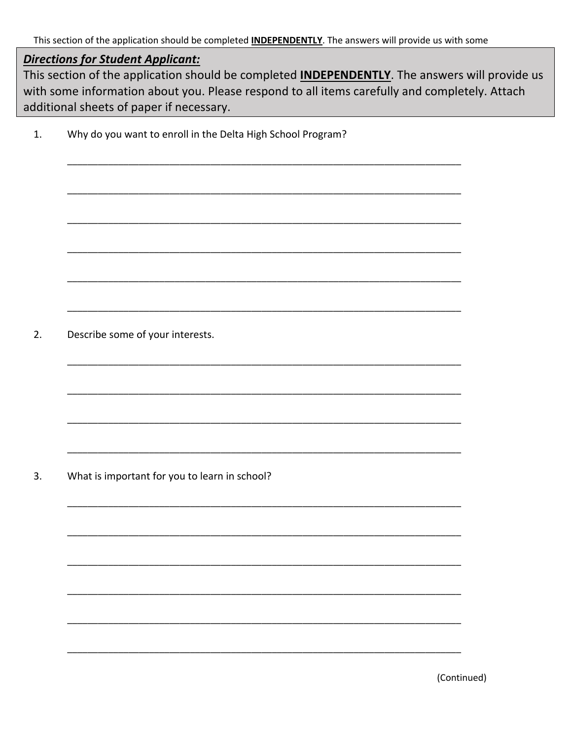This section of the application should be completed **INDEPENDENTLY**. The answers will provide us with some

### **Directions for Student Applicant:**

This section of the application should be completed **INDEPENDENTLY**. The answers will provide us with some information about you. Please respond to all items carefully and completely. Attach additional sheets of paper if necessary.

Why do you want to enroll in the Delta High School Program?  $1.$ 

 $2.$ Describe some of your interests.

What is important for you to learn in school?  $3.$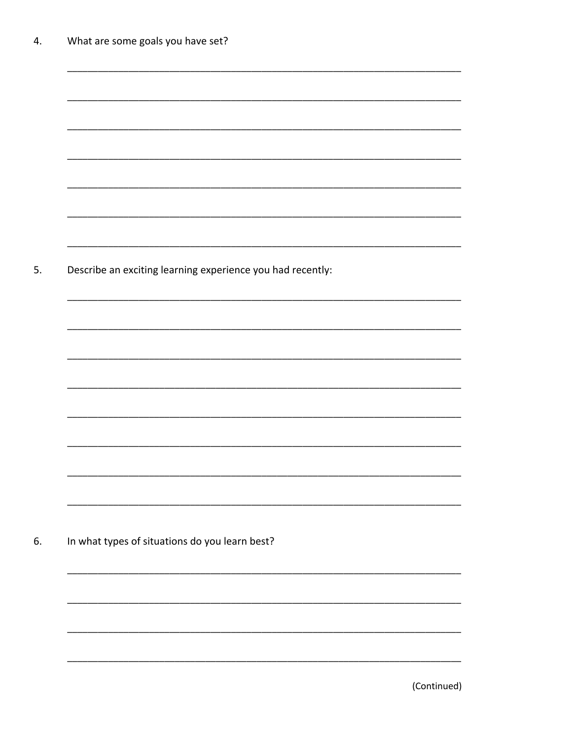| Describe an exciting learning experience you had recently: |  |  |
|------------------------------------------------------------|--|--|
|                                                            |  |  |
|                                                            |  |  |
|                                                            |  |  |
|                                                            |  |  |
|                                                            |  |  |
|                                                            |  |  |
|                                                            |  |  |
|                                                            |  |  |
|                                                            |  |  |
|                                                            |  |  |
|                                                            |  |  |
|                                                            |  |  |
| In what types of situations do you learn best?             |  |  |
|                                                            |  |  |
|                                                            |  |  |
|                                                            |  |  |
|                                                            |  |  |

(Continued)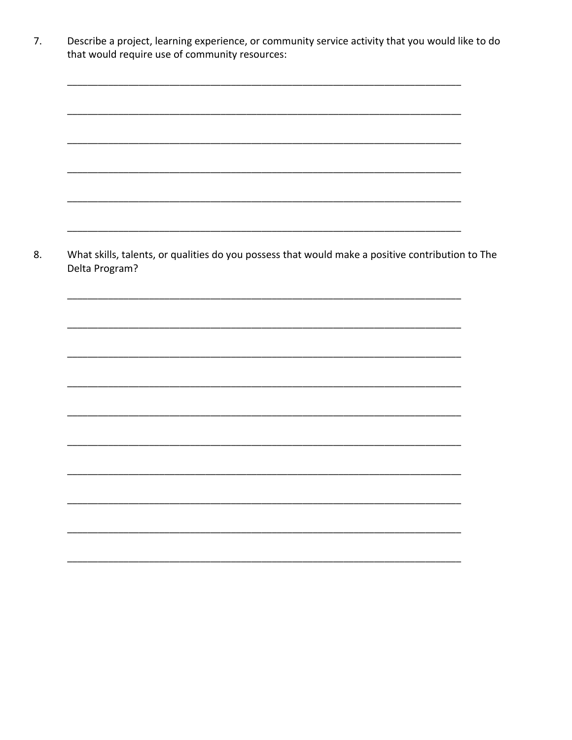|                                                                                                                    | <u> 1989 - Johann Stoff, amerikansk politiker (d. 1989)</u> |  |
|--------------------------------------------------------------------------------------------------------------------|-------------------------------------------------------------|--|
|                                                                                                                    |                                                             |  |
|                                                                                                                    |                                                             |  |
| What skills, talents, or qualities do you possess that would make a positive contribution to The<br>Delta Program? |                                                             |  |
|                                                                                                                    |                                                             |  |
|                                                                                                                    |                                                             |  |
|                                                                                                                    |                                                             |  |
|                                                                                                                    |                                                             |  |
|                                                                                                                    |                                                             |  |
|                                                                                                                    |                                                             |  |
|                                                                                                                    |                                                             |  |
|                                                                                                                    |                                                             |  |
|                                                                                                                    |                                                             |  |
|                                                                                                                    |                                                             |  |
|                                                                                                                    |                                                             |  |
|                                                                                                                    |                                                             |  |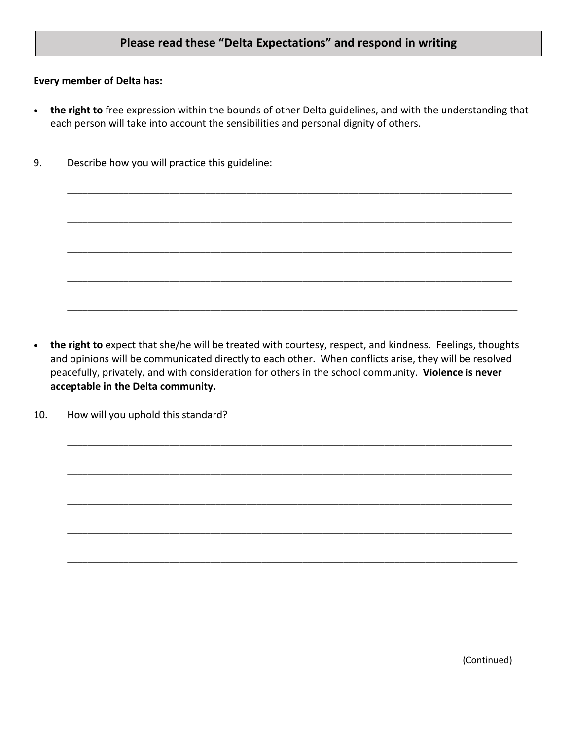### **Please read these "Delta Expectations" and respond in writing**

#### **Every member of Delta has:**

• **the right to** free expression within the bounds of other Delta guidelines, and with the understanding that each person will take into account the sensibilities and personal dignity of others.

\_\_\_\_\_\_\_\_\_\_\_\_\_\_\_\_\_\_\_\_\_\_\_\_\_\_\_\_\_\_\_\_\_\_\_\_\_\_\_\_\_\_\_\_\_\_\_\_\_\_\_\_\_\_\_\_\_\_\_\_\_\_\_\_\_\_\_\_\_\_\_\_\_\_\_\_\_\_\_\_\_\_\_\_\_\_\_

\_\_\_\_\_\_\_\_\_\_\_\_\_\_\_\_\_\_\_\_\_\_\_\_\_\_\_\_\_\_\_\_\_\_\_\_\_\_\_\_\_\_\_\_\_\_\_\_\_\_\_\_\_\_\_\_\_\_\_\_\_\_\_\_\_\_\_\_\_\_\_\_\_\_\_\_\_\_\_\_\_\_\_\_\_\_\_

\_\_\_\_\_\_\_\_\_\_\_\_\_\_\_\_\_\_\_\_\_\_\_\_\_\_\_\_\_\_\_\_\_\_\_\_\_\_\_\_\_\_\_\_\_\_\_\_\_\_\_\_\_\_\_\_\_\_\_\_\_\_\_\_\_\_\_\_\_\_\_\_\_\_\_\_\_\_\_\_\_\_\_\_\_\_\_

\_\_\_\_\_\_\_\_\_\_\_\_\_\_\_\_\_\_\_\_\_\_\_\_\_\_\_\_\_\_\_\_\_\_\_\_\_\_\_\_\_\_\_\_\_\_\_\_\_\_\_\_\_\_\_\_\_\_\_\_\_\_\_\_\_\_\_\_\_\_\_\_\_\_\_\_\_\_\_\_\_\_\_\_\_\_\_

\_\_\_\_\_\_\_\_\_\_\_\_\_\_\_\_\_\_\_\_\_\_\_\_\_\_\_\_\_\_\_\_\_\_\_\_\_\_\_\_\_\_\_\_\_\_\_\_\_\_\_\_\_\_\_\_\_\_\_\_\_\_\_\_\_\_\_\_\_\_\_\_\_\_\_\_\_\_\_\_\_\_\_\_\_\_\_\_

9. Describe how you will practice this guideline:

• **the right to** expect that she/he will be treated with courtesy, respect, and kindness. Feelings, thoughts and opinions will be communicated directly to each other. When conflicts arise, they will be resolved peacefully, privately, and with consideration for others in the school community. **Violence is never acceptable in the Delta community.**

\_\_\_\_\_\_\_\_\_\_\_\_\_\_\_\_\_\_\_\_\_\_\_\_\_\_\_\_\_\_\_\_\_\_\_\_\_\_\_\_\_\_\_\_\_\_\_\_\_\_\_\_\_\_\_\_\_\_\_\_\_\_\_\_\_\_\_\_\_\_\_\_\_\_\_\_\_\_\_\_\_\_\_\_\_\_\_

\_\_\_\_\_\_\_\_\_\_\_\_\_\_\_\_\_\_\_\_\_\_\_\_\_\_\_\_\_\_\_\_\_\_\_\_\_\_\_\_\_\_\_\_\_\_\_\_\_\_\_\_\_\_\_\_\_\_\_\_\_\_\_\_\_\_\_\_\_\_\_\_\_\_\_\_\_\_\_\_\_\_\_\_\_\_\_

\_\_\_\_\_\_\_\_\_\_\_\_\_\_\_\_\_\_\_\_\_\_\_\_\_\_\_\_\_\_\_\_\_\_\_\_\_\_\_\_\_\_\_\_\_\_\_\_\_\_\_\_\_\_\_\_\_\_\_\_\_\_\_\_\_\_\_\_\_\_\_\_\_\_\_\_\_\_\_\_\_\_\_\_\_\_\_

\_\_\_\_\_\_\_\_\_\_\_\_\_\_\_\_\_\_\_\_\_\_\_\_\_\_\_\_\_\_\_\_\_\_\_\_\_\_\_\_\_\_\_\_\_\_\_\_\_\_\_\_\_\_\_\_\_\_\_\_\_\_\_\_\_\_\_\_\_\_\_\_\_\_\_\_\_\_\_\_\_\_\_\_\_\_\_

\_\_\_\_\_\_\_\_\_\_\_\_\_\_\_\_\_\_\_\_\_\_\_\_\_\_\_\_\_\_\_\_\_\_\_\_\_\_\_\_\_\_\_\_\_\_\_\_\_\_\_\_\_\_\_\_\_\_\_\_\_\_\_\_\_\_\_\_\_\_\_\_\_\_\_\_\_\_\_\_\_\_\_\_\_\_\_\_

10. How will you uphold this standard?

(Continued)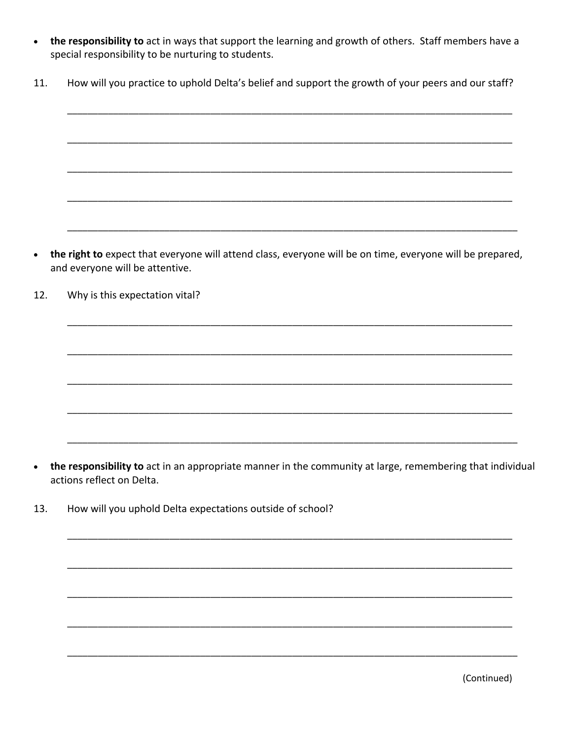- the responsibility to act in ways that support the learning and growth of others. Staff members have a  $\bullet$ special responsibility to be nurturing to students.
- How will you practice to uphold Delta's belief and support the growth of your peers and our staff? 11.

the right to expect that everyone will attend class, everyone will be on time, everyone will be prepared,  $\bullet$ and everyone will be attentive.

12. Why is this expectation vital?

- the responsibility to act in an appropriate manner in the community at large, remembering that individual  $\bullet$ actions reflect on Delta.
- 13. How will you uphold Delta expectations outside of school?

(Continued)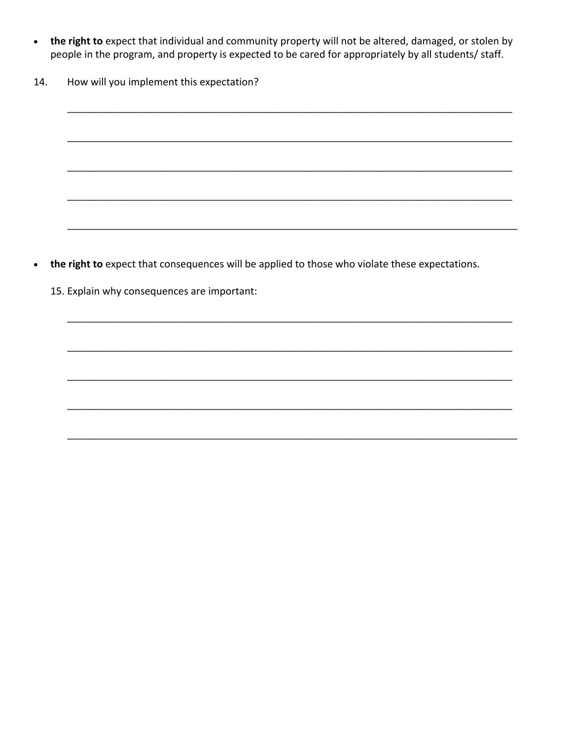- the right to expect that individual and community property will not be altered, damaged, or stolen by  $\bullet$ people in the program, and property is expected to be cared for appropriately by all students/ staff.
- How will you implement this expectation? 14.

- the right to expect that consequences will be applied to those who violate these expectations.  $\bullet$ 
	- 15. Explain why consequences are important: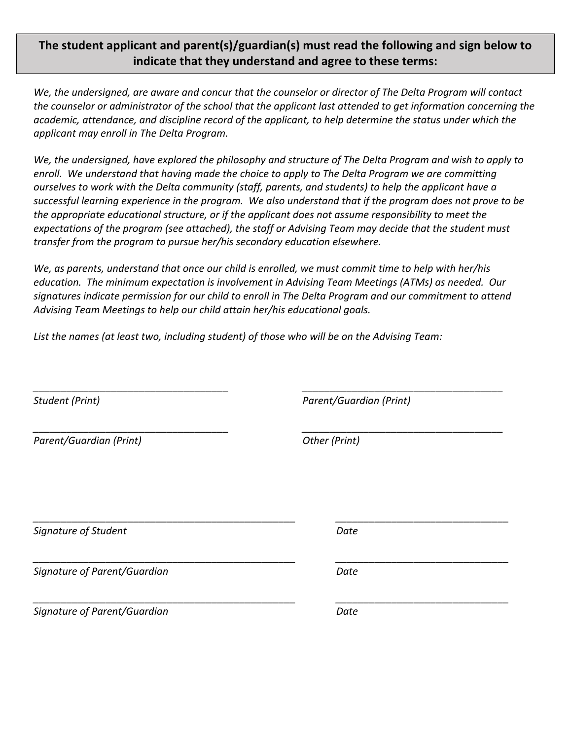### **The student applicant and parent(s)/guardian(s) must read the following and sign below to indicate that they understand and agree to these terms:**

*We, the undersigned, are aware and concur that the counselor or director of The Delta Program will contact the counselor or administrator of the school that the applicant last attended to get information concerning the academic, attendance, and discipline record of the applicant, to help determine the status under which the applicant may enroll in The Delta Program.*

*We, the undersigned, have explored the philosophy and structure of The Delta Program and wish to apply to enroll. We understand that having made the choice to apply to The Delta Program we are committing ourselves to work with the Delta community (staff, parents, and students) to help the applicant have a successful learning experience in the program. We also understand that if the program does not prove to be the appropriate educational structure, or if the applicant does not assume responsibility to meet the expectations of the program (see attached), the staff or Advising Team may decide that the student must transfer from the program to pursue her/his secondary education elsewhere.*

*We, as parents, understand that once our child is enrolled, we must commit time to help with her/his education. The minimum expectation is involvement in Advising Team Meetings (ATMs) as needed. Our signatures indicate permission for our child to enroll in The Delta Program and our commitment to attend Advising Team Meetings to help our child attain her/his educational goals.*

*\_\_\_\_\_\_\_\_\_\_\_\_\_\_\_\_\_\_\_\_\_\_\_\_\_\_\_\_\_\_\_\_\_\_\_ \_\_\_\_\_\_\_\_\_\_\_\_\_\_\_\_\_\_\_\_\_\_\_\_\_\_\_\_\_\_\_\_\_\_\_\_*

*\_\_\_\_\_\_\_\_\_\_\_\_\_\_\_\_\_\_\_\_\_\_\_\_\_\_\_\_\_\_\_\_\_\_\_ \_\_\_\_\_\_\_\_\_\_\_\_\_\_\_\_\_\_\_\_\_\_\_\_\_\_\_\_\_\_\_\_\_\_\_\_*

*\_\_\_\_\_\_\_\_\_\_\_\_\_\_\_\_\_\_\_\_\_\_\_\_\_\_\_\_\_\_\_\_\_\_\_\_\_\_\_\_\_\_\_\_\_\_\_ \_\_\_\_\_\_\_\_\_\_\_\_\_\_\_\_\_\_\_\_\_\_\_\_\_\_\_\_\_\_\_*

*\_\_\_\_\_\_\_\_\_\_\_\_\_\_\_\_\_\_\_\_\_\_\_\_\_\_\_\_\_\_\_\_\_\_\_\_\_\_\_\_\_\_\_\_\_\_\_ \_\_\_\_\_\_\_\_\_\_\_\_\_\_\_\_\_\_\_\_\_\_\_\_\_\_\_\_\_\_\_*

*\_\_\_\_\_\_\_\_\_\_\_\_\_\_\_\_\_\_\_\_\_\_\_\_\_\_\_\_\_\_\_\_\_\_\_\_\_\_\_\_\_\_\_\_\_\_\_ \_\_\_\_\_\_\_\_\_\_\_\_\_\_\_\_\_\_\_\_\_\_\_\_\_\_\_\_\_\_\_*

*List the names (at least two, including student) of those who will be on the Advising Team:*

*Parent/Guardian (Print) Other (Print)*

*Student (Print) Parent/Guardian (Print)*

*Signature of Student Date*

*Signature of Parent/Guardian Date*

*Signature of Parent/Guardian Date*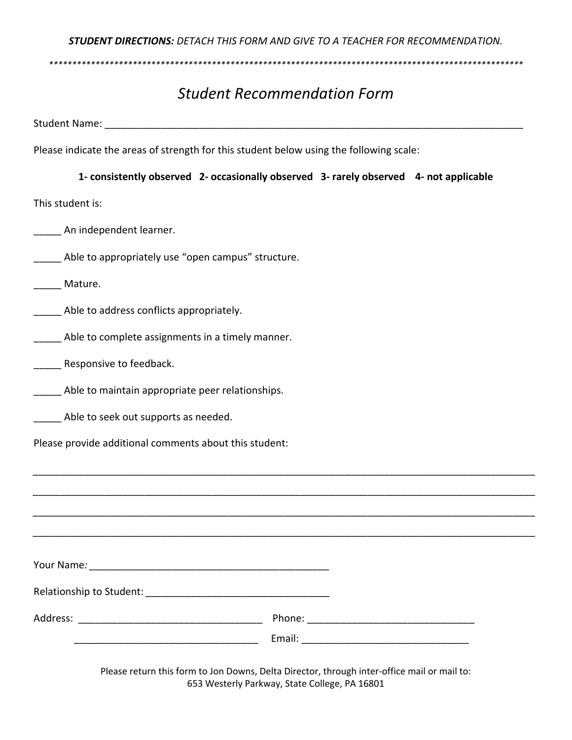*STUDENT DIRECTIONS: DETACH THIS FORM AND GIVE TO A TEACHER FOR RECOMMENDATION.*

*\*\*\*\*\*\*\*\*\*\*\*\*\*\*\*\*\*\*\*\*\*\*\*\*\*\*\*\*\*\*\*\*\*\*\*\*\*\*\*\*\*\*\*\*\*\*\*\*\*\*\*\*\*\*\*\*\*\*\*\*\*\*\*\*\*\*\*\*\*\*\*\*\*\*\*\*\*\*\*\*\*\*\*\*\*\*\*\*\*\*\*\*\*\*\*\*\*\*\*\*\*\**

# *Student Recommendation Form*

Student Name: **with a student of the student of the student**  $\mathbf{S}$ 

Please indicate the areas of strength for this student below using the following scale:

#### **1- consistently observed 2- occasionally observed 3- rarely observed 4- not applicable**

This student is:

- An independent learner.
- Able to appropriately use "open campus" structure.

Mature.

- **\_\_\_\_\_** Able to address conflicts appropriately.
- **\_\_\_\_\_** Able to complete assignments in a timely manner.
- Responsive to feedback.
- Able to maintain appropriate peer relationships.
- Able to seek out supports as needed.
- Please provide additional comments about this student:

*\_\_\_\_\_\_\_\_\_\_\_\_\_\_\_\_\_\_\_\_\_\_\_\_\_\_\_\_\_\_\_\_\_\_\_\_\_\_\_\_\_\_\_\_\_\_\_\_\_\_\_\_\_\_\_\_\_\_\_\_\_\_\_\_\_\_\_\_\_\_\_\_\_\_\_\_\_\_\_\_\_\_\_\_\_\_\_\_\_\_*

Please return this form to Jon Downs, Delta Director, through inter-office mail or mail to: 653 Westerly Parkway, State College, PA 16801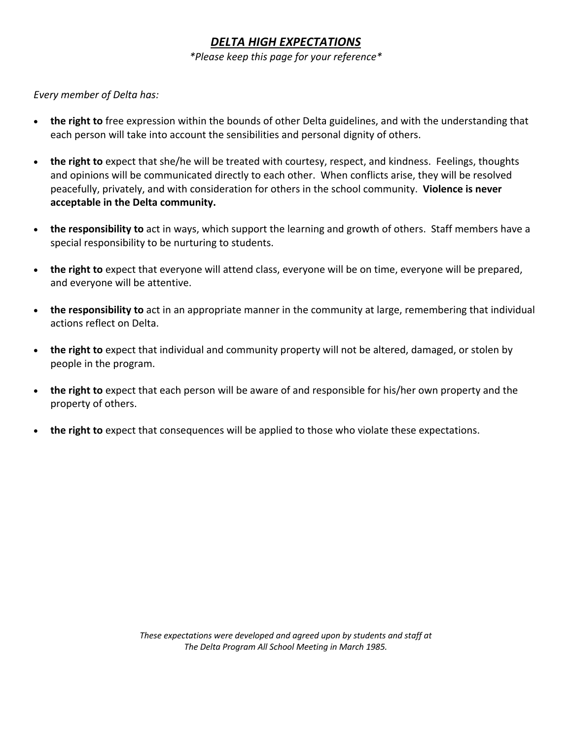### *DELTA HIGH EXPECTATIONS*

*\*Please keep this page for your reference\**

#### *Every member of Delta has:*

- **the right to** free expression within the bounds of other Delta guidelines, and with the understanding that each person will take into account the sensibilities and personal dignity of others.
- **the right to** expect that she/he will be treated with courtesy, respect, and kindness. Feelings, thoughts and opinions will be communicated directly to each other. When conflicts arise, they will be resolved peacefully, privately, and with consideration for others in the school community. **Violence is never acceptable in the Delta community.**
- **the responsibility to** act in ways, which support the learning and growth of others. Staff members have a special responsibility to be nurturing to students.
- **the right to** expect that everyone will attend class, everyone will be on time, everyone will be prepared, and everyone will be attentive.
- **the responsibility to** act in an appropriate manner in the community at large, remembering that individual actions reflect on Delta.
- **the right to** expect that individual and community property will not be altered, damaged, or stolen by people in the program.
- **the right to** expect that each person will be aware of and responsible for his/her own property and the property of others.
- **the right to** expect that consequences will be applied to those who violate these expectations.